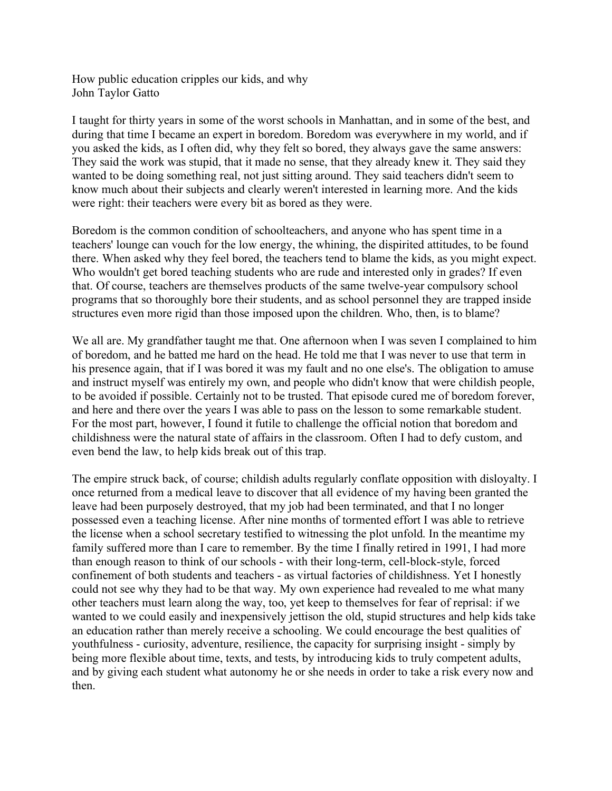How public education cripples our kids, and why John Taylor Gatto

I taught for thirty years in some of the worst schools in Manhattan, and in some of the best, and during that time I became an expert in boredom. Boredom was everywhere in my world, and if you asked the kids, as I often did, why they felt so bored, they always gave the same answers: They said the work was stupid, that it made no sense, that they already knew it. They said they wanted to be doing something real, not just sitting around. They said teachers didn't seem to know much about their subjects and clearly weren't interested in learning more. And the kids were right: their teachers were every bit as bored as they were.

Boredom is the common condition of schoolteachers, and anyone who has spent time in a teachers' lounge can vouch for the low energy, the whining, the dispirited attitudes, to be found there. When asked why they feel bored, the teachers tend to blame the kids, as you might expect. Who wouldn't get bored teaching students who are rude and interested only in grades? If even that. Of course, teachers are themselves products of the same twelve-year compulsory school programs that so thoroughly bore their students, and as school personnel they are trapped inside structures even more rigid than those imposed upon the children. Who, then, is to blame?

We all are. My grandfather taught me that. One afternoon when I was seven I complained to him of boredom, and he batted me hard on the head. He told me that I was never to use that term in his presence again, that if I was bored it was my fault and no one else's. The obligation to amuse and instruct myself was entirely my own, and people who didn't know that were childish people, to be avoided if possible. Certainly not to be trusted. That episode cured me of boredom forever, and here and there over the years I was able to pass on the lesson to some remarkable student. For the most part, however, I found it futile to challenge the official notion that boredom and childishness were the natural state of affairs in the classroom. Often I had to defy custom, and even bend the law, to help kids break out of this trap.

The empire struck back, of course; childish adults regularly conflate opposition with disloyalty. I once returned from a medical leave to discover that all evidence of my having been granted the leave had been purposely destroyed, that my job had been terminated, and that I no longer possessed even a teaching license. After nine months of tormented effort I was able to retrieve the license when a school secretary testified to witnessing the plot unfold. In the meantime my family suffered more than I care to remember. By the time I finally retired in 1991, I had more than enough reason to think of our schools - with their long-term, cell-block-style, forced confinement of both students and teachers - as virtual factories of childishness. Yet I honestly could not see why they had to be that way. My own experience had revealed to me what many other teachers must learn along the way, too, yet keep to themselves for fear of reprisal: if we wanted to we could easily and inexpensively jettison the old, stupid structures and help kids take an education rather than merely receive a schooling. We could encourage the best qualities of youthfulness - curiosity, adventure, resilience, the capacity for surprising insight - simply by being more flexible about time, texts, and tests, by introducing kids to truly competent adults, and by giving each student what autonomy he or she needs in order to take a risk every now and then.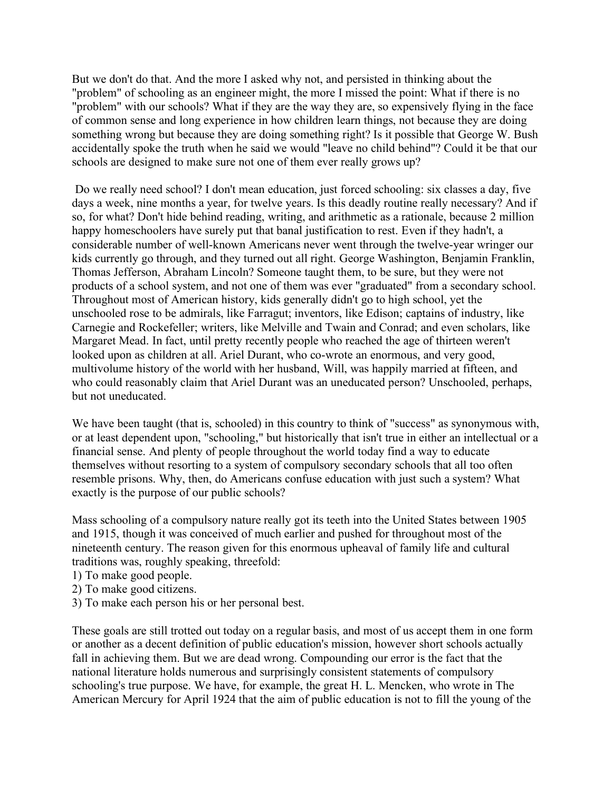But we don't do that. And the more I asked why not, and persisted in thinking about the "problem" of schooling as an engineer might, the more I missed the point: What if there is no "problem" with our schools? What if they are the way they are, so expensively flying in the face of common sense and long experience in how children learn things, not because they are doing something wrong but because they are doing something right? Is it possible that George W. Bush accidentally spoke the truth when he said we would "leave no child behind"? Could it be that our schools are designed to make sure not one of them ever really grows up?

Do we really need school? I don't mean education, just forced schooling: six classes a day, five days a week, nine months a year, for twelve years. Is this deadly routine really necessary? And if so, for what? Don't hide behind reading, writing, and arithmetic as a rationale, because 2 million happy homeschoolers have surely put that banal justification to rest. Even if they hadn't, a considerable number of well-known Americans never went through the twelve-year wringer our kids currently go through, and they turned out all right. George Washington, Benjamin Franklin, Thomas Jefferson, Abraham Lincoln? Someone taught them, to be sure, but they were not products of a school system, and not one of them was ever "graduated" from a secondary school. Throughout most of American history, kids generally didn't go to high school, yet the unschooled rose to be admirals, like Farragut; inventors, like Edison; captains of industry, like Carnegie and Rockefeller; writers, like Melville and Twain and Conrad; and even scholars, like Margaret Mead. In fact, until pretty recently people who reached the age of thirteen weren't looked upon as children at all. Ariel Durant, who co-wrote an enormous, and very good, multivolume history of the world with her husband, Will, was happily married at fifteen, and who could reasonably claim that Ariel Durant was an uneducated person? Unschooled, perhaps, but not uneducated.

We have been taught (that is, schooled) in this country to think of "success" as synonymous with, or at least dependent upon, "schooling," but historically that isn't true in either an intellectual or a financial sense. And plenty of people throughout the world today find a way to educate themselves without resorting to a system of compulsory secondary schools that all too often resemble prisons. Why, then, do Americans confuse education with just such a system? What exactly is the purpose of our public schools?

Mass schooling of a compulsory nature really got its teeth into the United States between 1905 and 1915, though it was conceived of much earlier and pushed for throughout most of the nineteenth century. The reason given for this enormous upheaval of family life and cultural traditions was, roughly speaking, threefold:

- 1) To make good people.
- 2) To make good citizens.
- 3) To make each person his or her personal best.

These goals are still trotted out today on a regular basis, and most of us accept them in one form or another as a decent definition of public education's mission, however short schools actually fall in achieving them. But we are dead wrong. Compounding our error is the fact that the national literature holds numerous and surprisingly consistent statements of compulsory schooling's true purpose. We have, for example, the great H. L. Mencken, who wrote in The American Mercury for April 1924 that the aim of public education is not to fill the young of the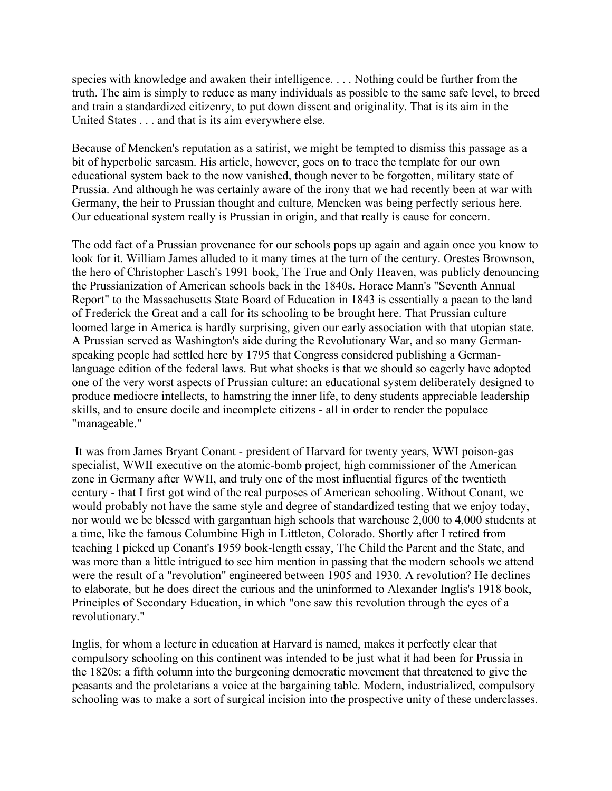species with knowledge and awaken their intelligence. . . . Nothing could be further from the truth. The aim is simply to reduce as many individuals as possible to the same safe level, to breed and train a standardized citizenry, to put down dissent and originality. That is its aim in the United States . . . and that is its aim everywhere else.

Because of Mencken's reputation as a satirist, we might be tempted to dismiss this passage as a bit of hyperbolic sarcasm. His article, however, goes on to trace the template for our own educational system back to the now vanished, though never to be forgotten, military state of Prussia. And although he was certainly aware of the irony that we had recently been at war with Germany, the heir to Prussian thought and culture, Mencken was being perfectly serious here. Our educational system really is Prussian in origin, and that really is cause for concern.

The odd fact of a Prussian provenance for our schools pops up again and again once you know to look for it. William James alluded to it many times at the turn of the century. Orestes Brownson, the hero of Christopher Lasch's 1991 book, The True and Only Heaven, was publicly denouncing the Prussianization of American schools back in the 1840s. Horace Mann's "Seventh Annual Report" to the Massachusetts State Board of Education in 1843 is essentially a paean to the land of Frederick the Great and a call for its schooling to be brought here. That Prussian culture loomed large in America is hardly surprising, given our early association with that utopian state. A Prussian served as Washington's aide during the Revolutionary War, and so many Germanspeaking people had settled here by 1795 that Congress considered publishing a Germanlanguage edition of the federal laws. But what shocks is that we should so eagerly have adopted one of the very worst aspects of Prussian culture: an educational system deliberately designed to produce mediocre intellects, to hamstring the inner life, to deny students appreciable leadership skills, and to ensure docile and incomplete citizens - all in order to render the populace "manageable."

It was from James Bryant Conant - president of Harvard for twenty years, WWI poison-gas specialist, WWII executive on the atomic-bomb project, high commissioner of the American zone in Germany after WWII, and truly one of the most influential figures of the twentieth century - that I first got wind of the real purposes of American schooling. Without Conant, we would probably not have the same style and degree of standardized testing that we enjoy today, nor would we be blessed with gargantuan high schools that warehouse 2,000 to 4,000 students at a time, like the famous Columbine High in Littleton, Colorado. Shortly after I retired from teaching I picked up Conant's 1959 book-length essay, The Child the Parent and the State, and was more than a little intrigued to see him mention in passing that the modern schools we attend were the result of a "revolution" engineered between 1905 and 1930. A revolution? He declines to elaborate, but he does direct the curious and the uninformed to Alexander Inglis's 1918 book, Principles of Secondary Education, in which "one saw this revolution through the eyes of a revolutionary."

Inglis, for whom a lecture in education at Harvard is named, makes it perfectly clear that compulsory schooling on this continent was intended to be just what it had been for Prussia in the 1820s: a fifth column into the burgeoning democratic movement that threatened to give the peasants and the proletarians a voice at the bargaining table. Modern, industrialized, compulsory schooling was to make a sort of surgical incision into the prospective unity of these underclasses.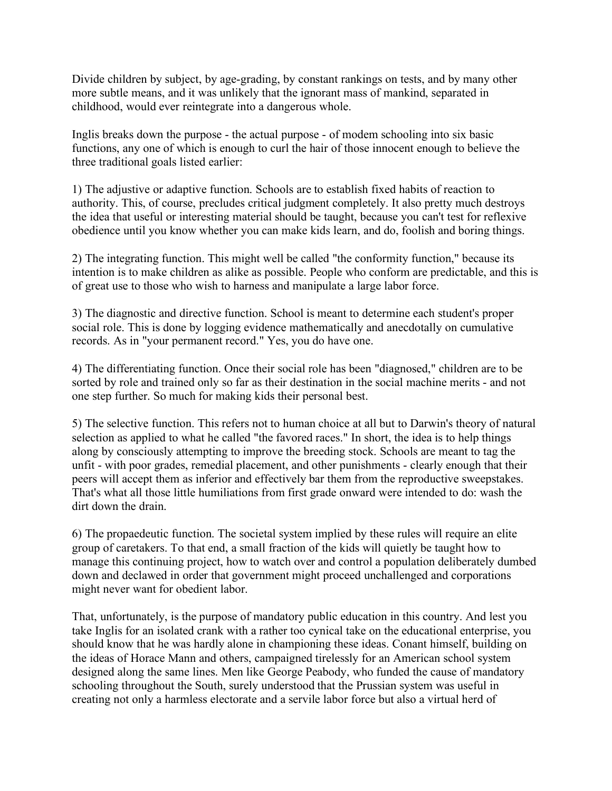Divide children by subject, by age-grading, by constant rankings on tests, and by many other more subtle means, and it was unlikely that the ignorant mass of mankind, separated in childhood, would ever reintegrate into a dangerous whole.

Inglis breaks down the purpose - the actual purpose - of modem schooling into six basic functions, any one of which is enough to curl the hair of those innocent enough to believe the three traditional goals listed earlier:

1) The adjustive or adaptive function. Schools are to establish fixed habits of reaction to authority. This, of course, precludes critical judgment completely. It also pretty much destroys the idea that useful or interesting material should be taught, because you can't test for reflexive obedience until you know whether you can make kids learn, and do, foolish and boring things.

2) The integrating function. This might well be called "the conformity function," because its intention is to make children as alike as possible. People who conform are predictable, and this is of great use to those who wish to harness and manipulate a large labor force.

3) The diagnostic and directive function. School is meant to determine each student's proper social role. This is done by logging evidence mathematically and anecdotally on cumulative records. As in "your permanent record." Yes, you do have one.

4) The differentiating function. Once their social role has been "diagnosed," children are to be sorted by role and trained only so far as their destination in the social machine merits - and not one step further. So much for making kids their personal best.

5) The selective function. This refers not to human choice at all but to Darwin's theory of natural selection as applied to what he called "the favored races." In short, the idea is to help things along by consciously attempting to improve the breeding stock. Schools are meant to tag the unfit - with poor grades, remedial placement, and other punishments - clearly enough that their peers will accept them as inferior and effectively bar them from the reproductive sweepstakes. That's what all those little humiliations from first grade onward were intended to do: wash the dirt down the drain.

6) The propaedeutic function. The societal system implied by these rules will require an elite group of caretakers. To that end, a small fraction of the kids will quietly be taught how to manage this continuing project, how to watch over and control a population deliberately dumbed down and declawed in order that government might proceed unchallenged and corporations might never want for obedient labor.

That, unfortunately, is the purpose of mandatory public education in this country. And lest you take Inglis for an isolated crank with a rather too cynical take on the educational enterprise, you should know that he was hardly alone in championing these ideas. Conant himself, building on the ideas of Horace Mann and others, campaigned tirelessly for an American school system designed along the same lines. Men like George Peabody, who funded the cause of mandatory schooling throughout the South, surely understood that the Prussian system was useful in creating not only a harmless electorate and a servile labor force but also a virtual herd of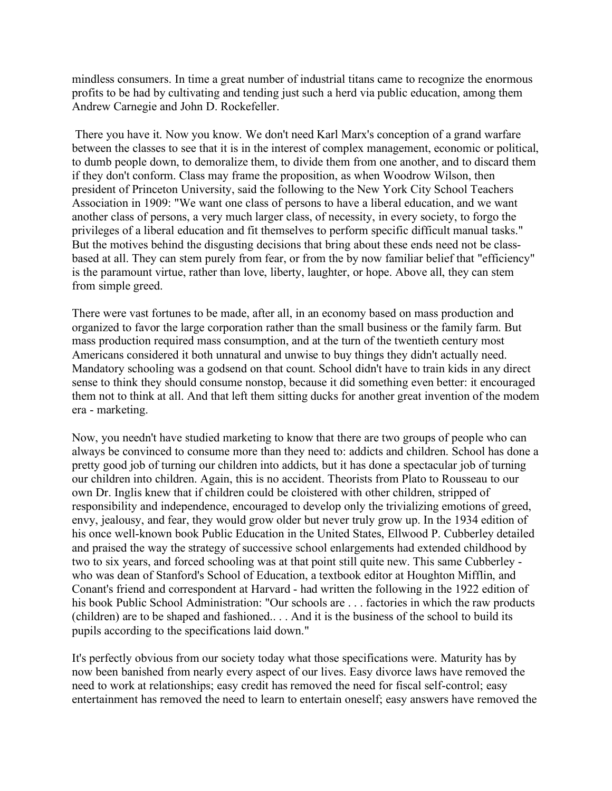mindless consumers. In time a great number of industrial titans came to recognize the enormous profits to be had by cultivating and tending just such a herd via public education, among them Andrew Carnegie and John D. Rockefeller.

There you have it. Now you know. We don't need Karl Marx's conception of a grand warfare between the classes to see that it is in the interest of complex management, economic or political, to dumb people down, to demoralize them, to divide them from one another, and to discard them if they don't conform. Class may frame the proposition, as when Woodrow Wilson, then president of Princeton University, said the following to the New York City School Teachers Association in 1909: "We want one class of persons to have a liberal education, and we want another class of persons, a very much larger class, of necessity, in every society, to forgo the privileges of a liberal education and fit themselves to perform specific difficult manual tasks." But the motives behind the disgusting decisions that bring about these ends need not be classbased at all. They can stem purely from fear, or from the by now familiar belief that "efficiency" is the paramount virtue, rather than love, liberty, laughter, or hope. Above all, they can stem from simple greed.

There were vast fortunes to be made, after all, in an economy based on mass production and organized to favor the large corporation rather than the small business or the family farm. But mass production required mass consumption, and at the turn of the twentieth century most Americans considered it both unnatural and unwise to buy things they didn't actually need. Mandatory schooling was a godsend on that count. School didn't have to train kids in any direct sense to think they should consume nonstop, because it did something even better: it encouraged them not to think at all. And that left them sitting ducks for another great invention of the modem era - marketing.

Now, you needn't have studied marketing to know that there are two groups of people who can always be convinced to consume more than they need to: addicts and children. School has done a pretty good job of turning our children into addicts, but it has done a spectacular job of turning our children into children. Again, this is no accident. Theorists from Plato to Rousseau to our own Dr. Inglis knew that if children could be cloistered with other children, stripped of responsibility and independence, encouraged to develop only the trivializing emotions of greed, envy, jealousy, and fear, they would grow older but never truly grow up. In the 1934 edition of his once well-known book Public Education in the United States, Ellwood P. Cubberley detailed and praised the way the strategy of successive school enlargements had extended childhood by two to six years, and forced schooling was at that point still quite new. This same Cubberley who was dean of Stanford's School of Education, a textbook editor at Houghton Mifflin, and Conant's friend and correspondent at Harvard - had written the following in the 1922 edition of his book Public School Administration: "Our schools are . . . factories in which the raw products (children) are to be shaped and fashioned.. . . And it is the business of the school to build its pupils according to the specifications laid down."

It's perfectly obvious from our society today what those specifications were. Maturity has by now been banished from nearly every aspect of our lives. Easy divorce laws have removed the need to work at relationships; easy credit has removed the need for fiscal self-control; easy entertainment has removed the need to learn to entertain oneself; easy answers have removed the